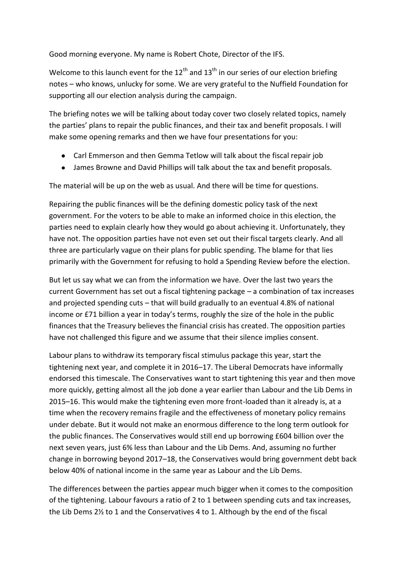Good morning everyone. My name is Robert Chote, Director of the IFS.

Welcome to this launch event for the 12<sup>th</sup> and 13<sup>th</sup> in our series of our election briefing notes – who knows, unlucky for some. We are very grateful to the Nuffield Foundation for supporting all our election analysis during the campaign.

The briefing notes we will be talking about today cover two closely related topics, namely the parties' plans to repair the public finances, and their tax and benefit proposals. I will make some opening remarks and then we have four presentations for you:

- Carl Emmerson and then Gemma Tetlow will talk about the fiscal repair job
- James Browne and David Phillips will talk about the tax and benefit proposals.

The material will be up on the web as usual. And there will be time for questions.

Repairing the public finances will be the defining domestic policy task of the next government. For the voters to be able to make an informed choice in this election, the parties need to explain clearly how they would go about achieving it. Unfortunately, they have not. The opposition parties have not even set out their fiscal targets clearly. And all three are particularly vague on their plans for public spending. The blame for that lies primarily with the Government for refusing to hold a Spending Review before the election.

But let us say what we can from the information we have. Over the last two years the current Government has set out a fiscal tightening package – a combination of tax increases and projected spending cuts – that will build gradually to an eventual 4.8% of national income or £71 billion a year in today's terms, roughly the size of the hole in the public finances that the Treasury believes the financial crisis has created. The opposition parties have not challenged this figure and we assume that their silence implies consent.

Labour plans to withdraw its temporary fiscal stimulus package this year, start the tightening next year, and complete it in 2016–17. The Liberal Democrats have informally endorsed this timescale. The Conservatives want to start tightening this year and then move more quickly, getting almost all the job done a year earlier than Labour and the Lib Dems in 2015–16. This would make the tightening even more front-loaded than it already is, at a time when the recovery remains fragile and the effectiveness of monetary policy remains under debate. But it would not make an enormous difference to the long term outlook for the public finances. The Conservatives would still end up borrowing £604 billion over the next seven years, just 6% less than Labour and the Lib Dems. And, assuming no further change in borrowing beyond 2017–18, the Conservatives would bring government debt back below 40% of national income in the same year as Labour and the Lib Dems.

The differences between the parties appear much bigger when it comes to the composition of the tightening. Labour favours a ratio of 2 to 1 between spending cuts and tax increases, the Lib Dems 2½ to 1 and the Conservatives 4 to 1. Although by the end of the fiscal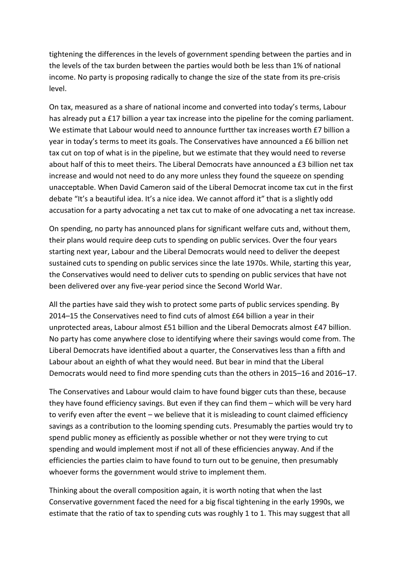tightening the differences in the levels of government spending between the parties and in the levels of the tax burden between the parties would both be less than 1% of national income. No party is proposing radically to change the size of the state from its pre-crisis level.

On tax, measured as a share of national income and converted into today's terms, Labour has already put a £17 billion a year tax increase into the pipeline for the coming parliament. We estimate that Labour would need to announce furtther tax increases worth £7 billion a year in today's terms to meet its goals. The Conservatives have announced a £6 billion net tax cut on top of what is in the pipeline, but we estimate that they would need to reverse about half of this to meet theirs. The Liberal Democrats have announced a £3 billion net tax increase and would not need to do any more unless they found the squeeze on spending unacceptable. When David Cameron said of the Liberal Democrat income tax cut in the first debate "It's a beautiful idea. It's a nice idea. We cannot afford it" that is a slightly odd accusation for a party advocating a net tax cut to make of one advocating a net tax increase.

On spending, no party has announced plans for significant welfare cuts and, without them, their plans would require deep cuts to spending on public services. Over the four years starting next year, Labour and the Liberal Democrats would need to deliver the deepest sustained cuts to spending on public services since the late 1970s. While, starting this year, the Conservatives would need to deliver cuts to spending on public services that have not been delivered over any five-year period since the Second World War.

All the parties have said they wish to protect some parts of public services spending. By 2014–15 the Conservatives need to find cuts of almost £64 billion a year in their unprotected areas, Labour almost £51 billion and the Liberal Democrats almost £47 billion. No party has come anywhere close to identifying where their savings would come from. The Liberal Democrats have identified about a quarter, the Conservatives less than a fifth and Labour about an eighth of what they would need. But bear in mind that the Liberal Democrats would need to find more spending cuts than the others in 2015–16 and 2016–17.

The Conservatives and Labour would claim to have found bigger cuts than these, because they have found efficiency savings. But even if they can find them – which will be very hard to verify even after the event – we believe that it is misleading to count claimed efficiency savings as a contribution to the looming spending cuts. Presumably the parties would try to spend public money as efficiently as possible whether or not they were trying to cut spending and would implement most if not all of these efficiencies anyway. And if the efficiencies the parties claim to have found to turn out to be genuine, then presumably whoever forms the government would strive to implement them.

Thinking about the overall composition again, it is worth noting that when the last Conservative government faced the need for a big fiscal tightening in the early 1990s, we estimate that the ratio of tax to spending cuts was roughly 1 to 1. This may suggest that all